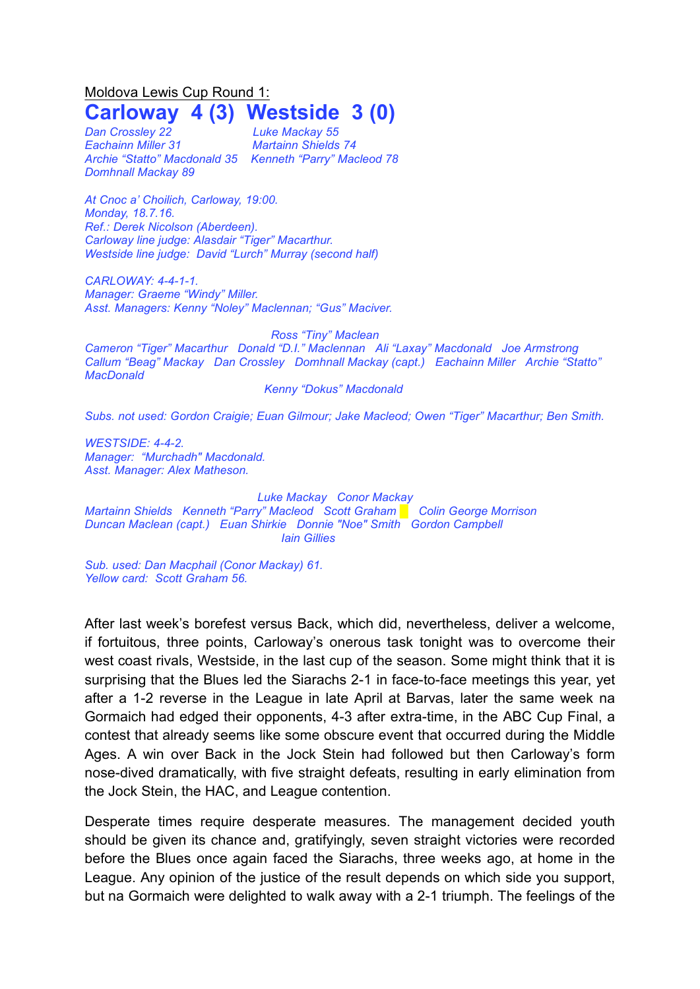## Moldova Lewis Cup Round 1: **Carloway 4 (3) Westside 3 (0)**

*Dan Crossley 22 Luke Mackay 55 Eachainn Miller 31 Martainn Shields 74 Domhnall Mackay 89*

*Archie "Statto" Macdonald 35 Kenneth "Parry" Macleod 78*

*At Cnoc a' Choilich, Carloway, 19:00. Monday, 18.7.16. Ref.: Derek Nicolson (Aberdeen). Carloway line judge: Alasdair "Tiger" Macarthur. Westside line judge: David "Lurch" Murray (second half)*

*CARLOWAY: 4-4-1-1. Manager: Graeme "Windy" Miller. Asst. Managers: Kenny "Noley" Maclennan; "Gus" Maciver.*

*Ross "Tiny" Maclean*

*Cameron "Tiger" Macarthur Donald "D.I." Maclennan Ali "Laxay" Macdonald Joe Armstrong Callum "Beag" Mackay Dan Crossley Domhnall Mackay (capt.) Eachainn Miller Archie "Statto" MacDonald*

*Kenny "Dokus" Macdonald*

*Subs. not used: Gordon Craigie; Euan Gilmour; Jake Macleod; Owen "Tiger" Macarthur; Ben Smith.*

*WESTSIDE: 4-4-2. Manager: "Murchadh" Macdonald. Asst. Manager: Alex Matheson.*

*Luke Mackay Conor Mackay Martainn Shields Kenneth "Parry" Macleod Scott Graham █ Colin George Morrison Duncan Maclean (capt.) Euan Shirkie Donnie "Noe" Smith Gordon Campbell Iain Gillies*

*Sub. used: Dan Macphail (Conor Mackay) 61. Yellow card: Scott Graham 56.*

After last week's borefest versus Back, which did, nevertheless, deliver a welcome, if fortuitous, three points, Carloway's onerous task tonight was to overcome their west coast rivals, Westside, in the last cup of the season. Some might think that it is surprising that the Blues led the Siarachs 2-1 in face-to-face meetings this year, yet after a 1-2 reverse in the League in late April at Barvas, later the same week na Gormaich had edged their opponents, 4-3 after extra-time, in the ABC Cup Final, a contest that already seems like some obscure event that occurred during the Middle Ages. A win over Back in the Jock Stein had followed but then Carloway's form nose-dived dramatically, with five straight defeats, resulting in early elimination from the Jock Stein, the HAC, and League contention.

Desperate times require desperate measures. The management decided youth should be given its chance and, gratifyingly, seven straight victories were recorded before the Blues once again faced the Siarachs, three weeks ago, at home in the League. Any opinion of the justice of the result depends on which side you support, but na Gormaich were delighted to walk away with a 2-1 triumph. The feelings of the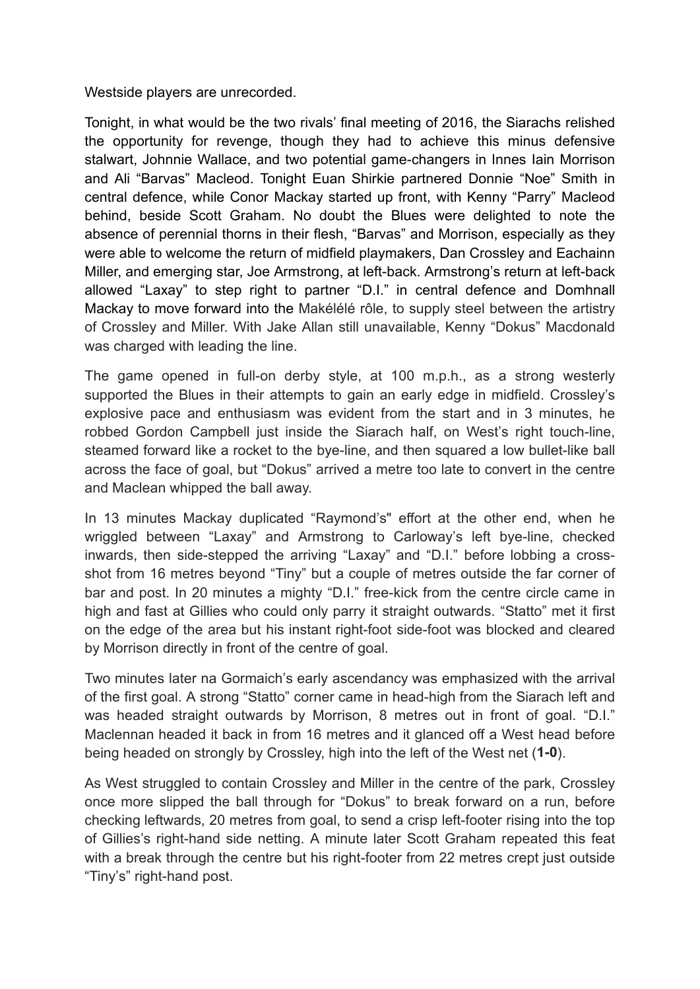Westside players are unrecorded.

Tonight, in what would be the two rivals' final meeting of 2016, the Siarachs relished the opportunity for revenge, though they had to achieve this minus defensive stalwart, Johnnie Wallace, and two potential game-changers in Innes Iain Morrison and Ali "Barvas" Macleod. Tonight Euan Shirkie partnered Donnie "Noe" Smith in central defence, while Conor Mackay started up front, with Kenny "Parry" Macleod behind, beside Scott Graham. No doubt the Blues were delighted to note the absence of perennial thorns in their flesh, "Barvas" and Morrison, especially as they were able to welcome the return of midfield playmakers, Dan Crossley and Eachainn Miller, and emerging star, Joe Armstrong, at left-back. Armstrong's return at left-back allowed "Laxay" to step right to partner "D.I." in central defence and Domhnall Mackay to move forward into the Makélélé rôle, to supply steel between the artistry of Crossley and Miller. With Jake Allan still unavailable, Kenny "Dokus" Macdonald was charged with leading the line.

The game opened in full-on derby style, at 100 m.p.h., as a strong westerly supported the Blues in their attempts to gain an early edge in midfield. Crossley's explosive pace and enthusiasm was evident from the start and in 3 minutes, he robbed Gordon Campbell just inside the Siarach half, on West's right touch-line, steamed forward like a rocket to the bye-line, and then squared a low bullet-like ball across the face of goal, but "Dokus" arrived a metre too late to convert in the centre and Maclean whipped the ball away.

In 13 minutes Mackay duplicated "Raymond's" effort at the other end, when he wriggled between "Laxay" and Armstrong to Carloway's left bye-line, checked inwards, then side-stepped the arriving "Laxay" and "D.I." before lobbing a crossshot from 16 metres beyond "Tiny" but a couple of metres outside the far corner of bar and post. In 20 minutes a mighty "D.I." free-kick from the centre circle came in high and fast at Gillies who could only parry it straight outwards. "Statto" met it first on the edge of the area but his instant right-foot side-foot was blocked and cleared by Morrison directly in front of the centre of goal.

Two minutes later na Gormaich's early ascendancy was emphasized with the arrival of the first goal. A strong "Statto" corner came in head-high from the Siarach left and was headed straight outwards by Morrison, 8 metres out in front of goal. "D.I." Maclennan headed it back in from 16 metres and it glanced off a West head before being headed on strongly by Crossley, high into the left of the West net (**1-0**).

As West struggled to contain Crossley and Miller in the centre of the park, Crossley once more slipped the ball through for "Dokus" to break forward on a run, before checking leftwards, 20 metres from goal, to send a crisp left-footer rising into the top of Gillies's right-hand side netting. A minute later Scott Graham repeated this feat with a break through the centre but his right-footer from 22 metres crept just outside "Tiny's" right-hand post.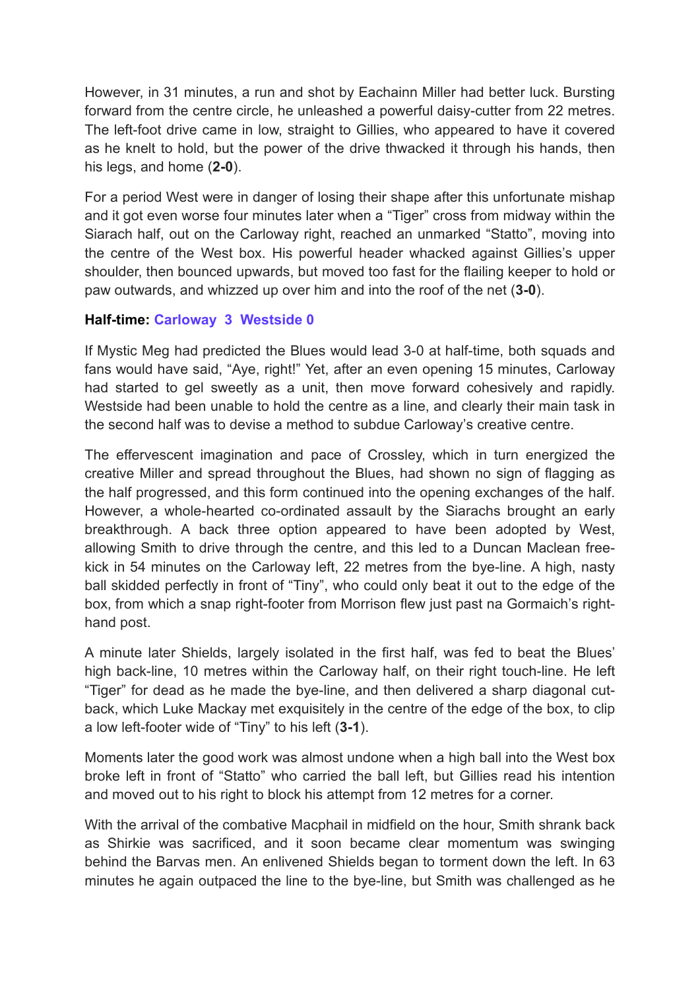However, in 31 minutes, a run and shot by Eachainn Miller had better luck. Bursting forward from the centre circle, he unleashed a powerful daisy-cutter from 22 metres. The left-foot drive came in low, straight to Gillies, who appeared to have it covered as he knelt to hold, but the power of the drive thwacked it through his hands, then his legs, and home (**2-0**).

For a period West were in danger of losing their shape after this unfortunate mishap and it got even worse four minutes later when a "Tiger" cross from midway within the Siarach half, out on the Carloway right, reached an unmarked "Statto", moving into the centre of the West box. His powerful header whacked against Gillies's upper shoulder, then bounced upwards, but moved too fast for the flailing keeper to hold or paw outwards, and whizzed up over him and into the roof of the net (**3-0**).

## **Half-time: Carloway 3 Westside 0**

If Mystic Meg had predicted the Blues would lead 3-0 at half-time, both squads and fans would have said, "Aye, right!" Yet, after an even opening 15 minutes, Carloway had started to gel sweetly as a unit, then move forward cohesively and rapidly. Westside had been unable to hold the centre as a line, and clearly their main task in the second half was to devise a method to subdue Carloway's creative centre.

The effervescent imagination and pace of Crossley, which in turn energized the creative Miller and spread throughout the Blues, had shown no sign of flagging as the half progressed, and this form continued into the opening exchanges of the half. However, a whole-hearted co-ordinated assault by the Siarachs brought an early breakthrough. A back three option appeared to have been adopted by West, allowing Smith to drive through the centre, and this led to a Duncan Maclean freekick in 54 minutes on the Carloway left, 22 metres from the bye-line. A high, nasty ball skidded perfectly in front of "Tiny", who could only beat it out to the edge of the box, from which a snap right-footer from Morrison flew just past na Gormaich's righthand post.

A minute later Shields, largely isolated in the first half, was fed to beat the Blues' high back-line, 10 metres within the Carloway half, on their right touch-line. He left "Tiger" for dead as he made the bye-line, and then delivered a sharp diagonal cutback, which Luke Mackay met exquisitely in the centre of the edge of the box, to clip a low left-footer wide of "Tiny" to his left (**3-1**).

Moments later the good work was almost undone when a high ball into the West box broke left in front of "Statto" who carried the ball left, but Gillies read his intention and moved out to his right to block his attempt from 12 metres for a corner.

With the arrival of the combative Macphail in midfield on the hour, Smith shrank back as Shirkie was sacrificed, and it soon became clear momentum was swinging behind the Barvas men. An enlivened Shields began to torment down the left. In 63 minutes he again outpaced the line to the bye-line, but Smith was challenged as he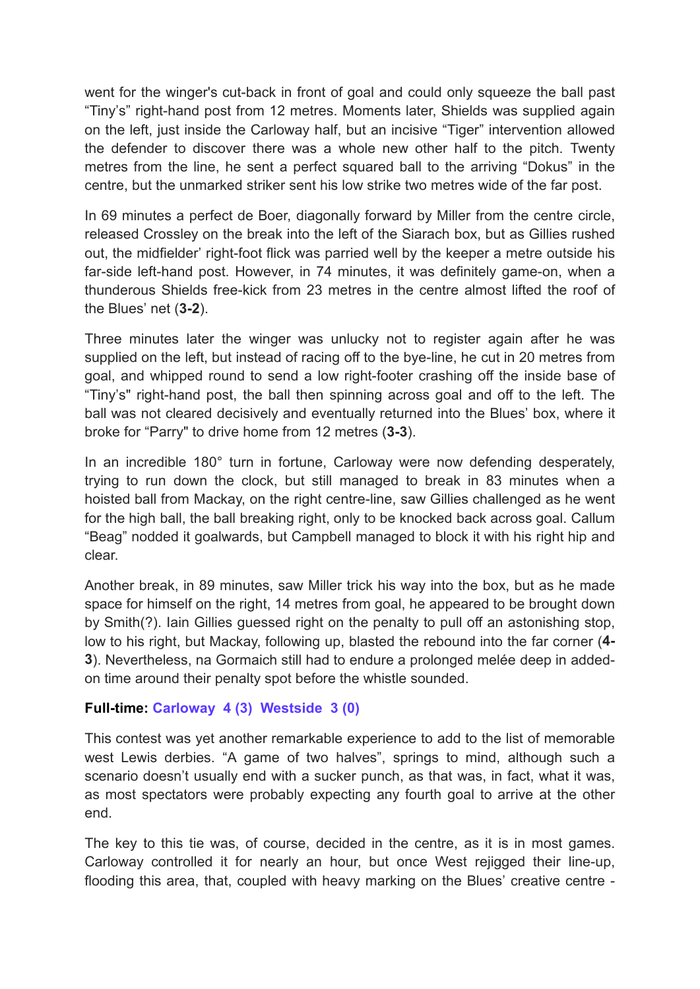went for the winger's cut-back in front of goal and could only squeeze the ball past "Tiny's" right-hand post from 12 metres. Moments later, Shields was supplied again on the left, just inside the Carloway half, but an incisive "Tiger" intervention allowed the defender to discover there was a whole new other half to the pitch. Twenty metres from the line, he sent a perfect squared ball to the arriving "Dokus" in the centre, but the unmarked striker sent his low strike two metres wide of the far post.

In 69 minutes a perfect de Boer, diagonally forward by Miller from the centre circle, released Crossley on the break into the left of the Siarach box, but as Gillies rushed out, the midfielder' right-foot flick was parried well by the keeper a metre outside his far-side left-hand post. However, in 74 minutes, it was definitely game-on, when a thunderous Shields free-kick from 23 metres in the centre almost lifted the roof of the Blues' net (**3-2**).

Three minutes later the winger was unlucky not to register again after he was supplied on the left, but instead of racing off to the bye-line, he cut in 20 metres from goal, and whipped round to send a low right-footer crashing off the inside base of "Tiny's" right-hand post, the ball then spinning across goal and off to the left. The ball was not cleared decisively and eventually returned into the Blues' box, where it broke for "Parry" to drive home from 12 metres (**3-3**).

In an incredible 180° turn in fortune, Carloway were now defending desperately, trying to run down the clock, but still managed to break in 83 minutes when a hoisted ball from Mackay, on the right centre-line, saw Gillies challenged as he went for the high ball, the ball breaking right, only to be knocked back across goal. Callum "Beag" nodded it goalwards, but Campbell managed to block it with his right hip and clear.

Another break, in 89 minutes, saw Miller trick his way into the box, but as he made space for himself on the right, 14 metres from goal, he appeared to be brought down by Smith(?). Iain Gillies guessed right on the penalty to pull off an astonishing stop, low to his right, but Mackay, following up, blasted the rebound into the far corner (**4- 3**). Nevertheless, na Gormaich still had to endure a prolonged melée deep in addedon time around their penalty spot before the whistle sounded.

## **Full-time: Carloway 4 (3) Westside 3 (0)**

This contest was yet another remarkable experience to add to the list of memorable west Lewis derbies. "A game of two halves", springs to mind, although such a scenario doesn't usually end with a sucker punch, as that was, in fact, what it was, as most spectators were probably expecting any fourth goal to arrive at the other end.

The key to this tie was, of course, decided in the centre, as it is in most games. Carloway controlled it for nearly an hour, but once West rejigged their line-up, flooding this area, that, coupled with heavy marking on the Blues' creative centre -